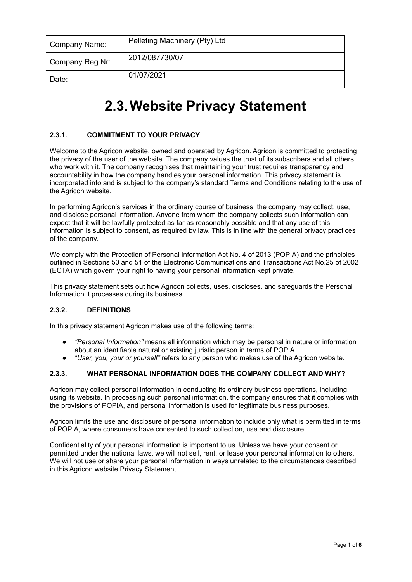| Company Name:   | Pelleting Machinery (Pty) Ltd |
|-----------------|-------------------------------|
| Company Reg Nr: | 2012/087730/07                |
| Date:           | 01/07/2021                    |

# **2.3.Website Privacy Statement**

# **2.3.1. COMMITMENT TO YOUR PRIVACY**

Welcome to the Agricon website, owned and operated by Agricon. Agricon is committed to protecting the privacy of the user of the website. The company values the trust of its subscribers and all others who work with it. The company recognises that maintaining your trust requires transparency and accountability in how the company handles your personal information. This privacy statement is incorporated into and is subject to the company's standard Terms and Conditions relating to the use of the Agricon website.

In performing Agricon's services in the ordinary course of business, the company may collect, use, and disclose personal information. Anyone from whom the company collects such information can expect that it will be lawfully protected as far as reasonably possible and that any use of this information is subject to consent, as required by law. This is in line with the general privacy practices of the company.

We comply with the Protection of Personal Information Act No. 4 of 2013 (POPIA) and the principles outlined in Sections 50 and 51 of the Electronic Communications and Transactions Act No.25 of 2002 (ECTA) which govern your right to having your personal information kept private.

This privacy statement sets out how Agricon collects, uses, discloses, and safeguards the Personal Information it processes during its business.

# **2.3.2. DEFINITIONS**

In this privacy statement Agricon makes use of the following terms:

- *"Personal Information"* means all information which may be personal in nature or information about an identifiable natural or existing juristic person in terms of POPIA.
- *"User, you, your or yourself"* refers to any person who makes use of the Agricon website.

#### **2.3.3. WHAT PERSONAL INFORMATION DOES THE COMPANY COLLECT AND WHY?**

Agricon may collect personal information in conducting its ordinary business operations, including using its website. In processing such personal information, the company ensures that it complies with the provisions of POPIA, and personal information is used for legitimate business purposes.

Agricon limits the use and disclosure of personal information to include only what is permitted in terms of POPIA, where consumers have consented to such collection, use and disclosure.

Confidentiality of your personal information is important to us. Unless we have your consent or permitted under the national laws, we will not sell, rent, or lease your personal information to others. We will not use or share your personal information in ways unrelated to the circumstances described in this Agricon website Privacy Statement.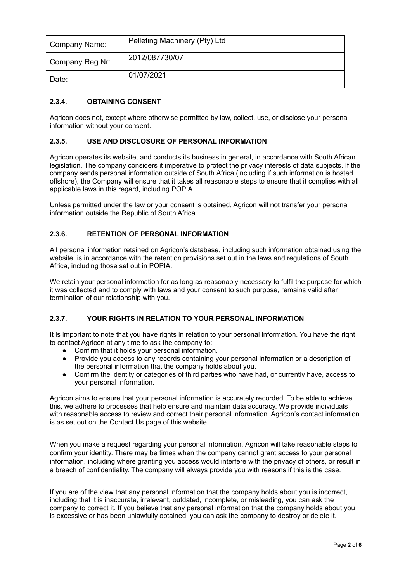| Company Name:   | Pelleting Machinery (Pty) Ltd |
|-----------------|-------------------------------|
| Company Reg Nr: | 2012/087730/07                |
| I Date:         | 01/07/2021                    |

## **2.3.4. OBTAINING CONSENT**

Agricon does not, except where otherwise permitted by law, collect, use, or disclose your personal information without your consent.

## **2.3.5. USE AND DISCLOSURE OF PERSONAL INFORMATION**

Agricon operates its website, and conducts its business in general, in accordance with South African legislation. The company considers it imperative to protect the privacy interests of data subjects. If the company sends personal information outside of South Africa (including if such information is hosted offshore), the Company will ensure that it takes all reasonable steps to ensure that it complies with all applicable laws in this regard, including POPIA.

Unless permitted under the law or your consent is obtained, Agricon will not transfer your personal information outside the Republic of South Africa.

## **2.3.6. RETENTION OF PERSONAL INFORMATION**

All personal information retained on Agricon's database, including such information obtained using the website, is in accordance with the retention provisions set out in the laws and regulations of South Africa, including those set out in POPIA.

We retain your personal information for as long as reasonably necessary to fulfil the purpose for which it was collected and to comply with laws and your consent to such purpose, remains valid after termination of our relationship with you.

## **2.3.7. YOUR RIGHTS IN RELATION TO YOUR PERSONAL INFORMATION**

It is important to note that you have rights in relation to your personal information. You have the right to contact Agricon at any time to ask the company to:

- Confirm that it holds your personal information.
- Provide you access to any records containing your personal information or a description of the personal information that the company holds about you.
- Confirm the identity or categories of third parties who have had, or currently have, access to your personal information.

Agricon aims to ensure that your personal information is accurately recorded. To be able to achieve this, we adhere to processes that help ensure and maintain data accuracy. We provide individuals with reasonable access to review and correct their personal information. Agricon's contact information is as set out on the Contact Us page of this website.

When you make a request regarding your personal information, Agricon will take reasonable steps to confirm your identity. There may be times when the company cannot grant access to your personal information, including where granting you access would interfere with the privacy of others, or result in a breach of confidentiality. The company will always provide you with reasons if this is the case.

If you are of the view that any personal information that the company holds about you is incorrect, including that it is inaccurate, irrelevant, outdated, incomplete, or misleading, you can ask the company to correct it. If you believe that any personal information that the company holds about you is excessive or has been unlawfully obtained, you can ask the company to destroy or delete it.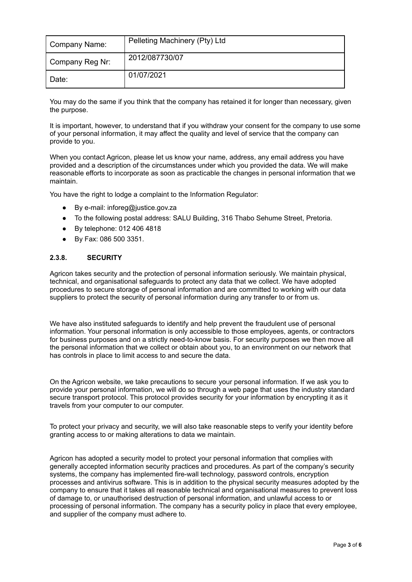| Company Name:   | Pelleting Machinery (Pty) Ltd |
|-----------------|-------------------------------|
| Company Reg Nr: | 2012/087730/07                |
| Date:           | 01/07/2021                    |

You may do the same if you think that the company has retained it for longer than necessary, given the purpose.

It is important, however, to understand that if you withdraw your consent for the company to use some of your personal information, it may affect the quality and level of service that the company can provide to you.

When you contact Agricon, please let us know your name, address, any email address you have provided and a description of the circumstances under which you provided the data. We will make reasonable efforts to incorporate as soon as practicable the changes in personal information that we maintain.

You have the right to lodge a complaint to the Information Regulator:

- By e-mail: inforeg@justice.gov.za
- To the following postal address: SALU Building, 316 Thabo Sehume Street, Pretoria.
- By telephone: 012 406 4818
- By Fax: 086 500 3351.

#### **2.3.8. SECURITY**

Agricon takes security and the protection of personal information seriously. We maintain physical, technical, and organisational safeguards to protect any data that we collect. We have adopted procedures to secure storage of personal information and are committed to working with our data suppliers to protect the security of personal information during any transfer to or from us.

We have also instituted safeguards to identify and help prevent the fraudulent use of personal information. Your personal information is only accessible to those employees, agents, or contractors for business purposes and on a strictly need-to-know basis. For security purposes we then move all the personal information that we collect or obtain about you, to an environment on our network that has controls in place to limit access to and secure the data.

On the Agricon website, we take precautions to secure your personal information. If we ask you to provide your personal information, we will do so through a web page that uses the industry standard secure transport protocol. This protocol provides security for your information by encrypting it as it travels from your computer to our computer.

To protect your privacy and security, we will also take reasonable steps to verify your identity before granting access to or making alterations to data we maintain.

Agricon has adopted a security model to protect your personal information that complies with generally accepted information security practices and procedures. As part of the company's security systems, the company has implemented fire-wall technology, password controls, encryption processes and antivirus software. This is in addition to the physical security measures adopted by the company to ensure that it takes all reasonable technical and organisational measures to prevent loss of damage to, or unauthorised destruction of personal information, and unlawful access to or processing of personal information. The company has a security policy in place that every employee, and supplier of the company must adhere to.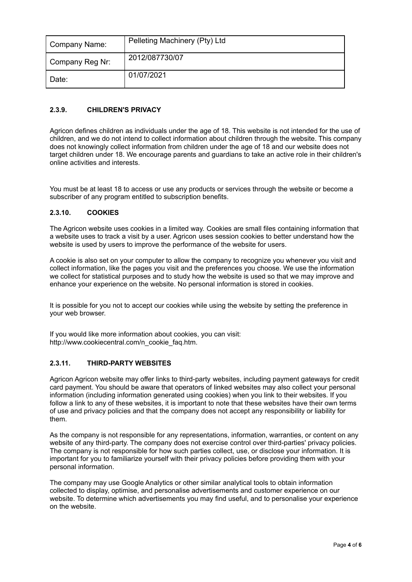| Company Name:   | Pelleting Machinery (Pty) Ltd |
|-----------------|-------------------------------|
| Company Reg Nr: | 2012/087730/07                |
| l Date:         | 01/07/2021                    |

# **2.3.9. CHILDREN'S PRIVACY**

Agricon defines children as individuals under the age of 18. This website is not intended for the use of children, and we do not intend to collect information about children through the website. This company does not knowingly collect information from children under the age of 18 and our website does not target children under 18. We encourage parents and guardians to take an active role in their children's online activities and interests.

You must be at least 18 to access or use any products or services through the website or become a subscriber of any program entitled to subscription benefits.

## **2.3.10. COOKIES**

The Agricon website uses cookies in a limited way. Cookies are small files containing information that a website uses to track a visit by a user. Agricon uses session cookies to better understand how the website is used by users to improve the performance of the website for users.

A cookie is also set on your computer to allow the company to recognize you whenever you visit and collect information, like the pages you visit and the preferences you choose. We use the information we collect for statistical purposes and to study how the website is used so that we may improve and enhance your experience on the website. No personal information is stored in cookies.

It is possible for you not to accept our cookies while using the website by setting the preference in your web browser.

If you would like more information about cookies, you can visit: http://www.cookiecentral.com/n\_cookie\_faq.htm.

## **2.3.11. THIRD-PARTY WEBSITES**

Agricon Agricon website may offer links to third-party websites, including payment gateways for credit card payment. You should be aware that operators of linked websites may also collect your personal information (including information generated using cookies) when you link to their websites. If you follow a link to any of these websites, it is important to note that these websites have their own terms of use and privacy policies and that the company does not accept any responsibility or liability for them.

As the company is not responsible for any representations, information, warranties, or content on any website of any third-party. The company does not exercise control over third-parties' privacy policies. The company is not responsible for how such parties collect, use, or disclose your information. It is important for you to familiarize yourself with their privacy policies before providing them with your personal information.

The company may use Google Analytics or other similar analytical tools to obtain information collected to display, optimise, and personalise advertisements and customer experience on our website. To determine which advertisements you may find useful, and to personalise your experience on the website.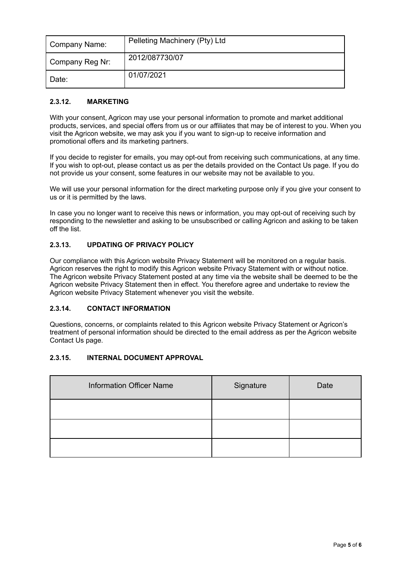| Company Name:   | Pelleting Machinery (Pty) Ltd |
|-----------------|-------------------------------|
| Company Reg Nr: | 2012/087730/07                |
| I Date:         | 01/07/2021                    |

## **2.3.12. MARKETING**

With your consent, Agricon may use your personal information to promote and market additional products, services, and special offers from us or our affiliates that may be of interest to you. When you visit the Agricon website, we may ask you if you want to sign-up to receive information and promotional offers and its marketing partners.

If you decide to register for emails, you may opt-out from receiving such communications, at any time. If you wish to opt-out, please contact us as per the details provided on the Contact Us page. If you do not provide us your consent, some features in our website may not be available to you.

We will use your personal information for the direct marketing purpose only if you give your consent to us or it is permitted by the laws.

In case you no longer want to receive this news or information, you may opt-out of receiving such by responding to the newsletter and asking to be unsubscribed or calling Agricon and asking to be taken off the list.

## **2.3.13. UPDATING OF PRIVACY POLICY**

Our compliance with this Agricon website Privacy Statement will be monitored on a regular basis. Agricon reserves the right to modify this Agricon website Privacy Statement with or without notice. The Agricon website Privacy Statement posted at any time via the website shall be deemed to be the Agricon website Privacy Statement then in effect. You therefore agree and undertake to review the Agricon website Privacy Statement whenever you visit the website.

## **2.3.14. CONTACT INFORMATION**

Questions, concerns, or complaints related to this Agricon website Privacy Statement or Agricon's treatment of personal information should be directed to the email address as per the Agricon website Contact Us page.

## **2.3.15. INTERNAL DOCUMENT APPROVAL**

| <b>Information Officer Name</b> | Signature | Date |
|---------------------------------|-----------|------|
|                                 |           |      |
|                                 |           |      |
|                                 |           |      |